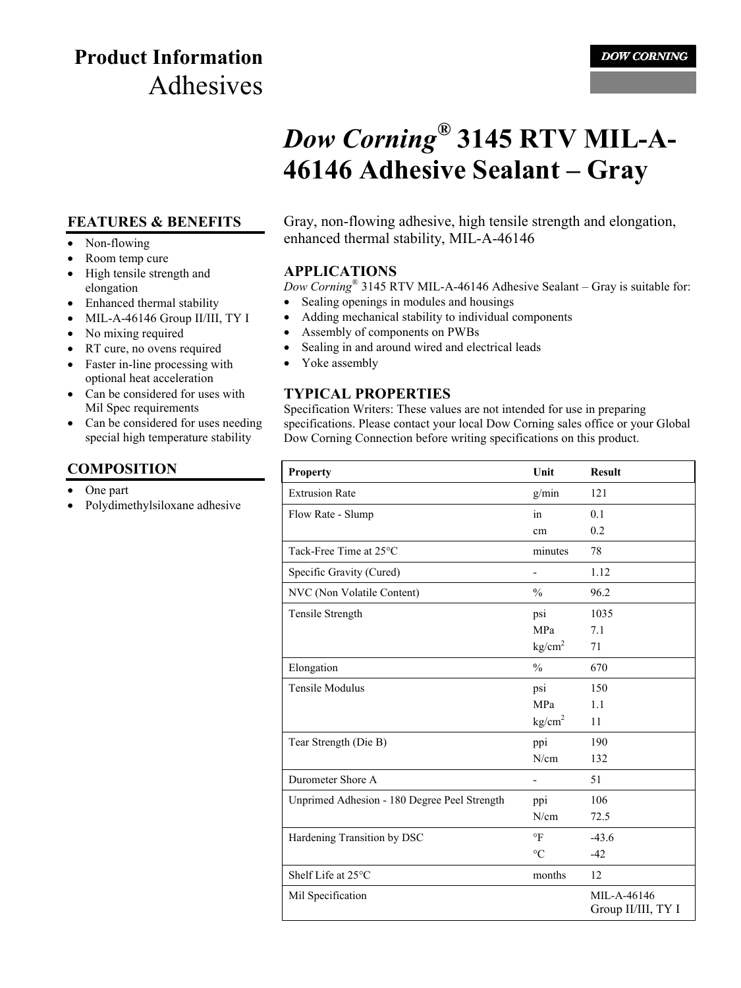## **Product Information** Adhesives

#### **DOW CORNING**

# *Dow Corning®* **3145 RTV MIL-A-46146 Adhesive Sealant – Gray**

#### **FEATURES & BENEFITS**

- Non-flowing
- Room temp cure
- High tensile strength and elongation
- Enhanced thermal stability
- MIL-A-46146 Group II/III, TY I
- No mixing required
- RT cure, no ovens required
- Faster in-line processing with optional heat acceleration
- Can be considered for uses with Mil Spec requirements
- Can be considered for uses needing special high temperature stability

## **COMPOSITION**

- One part
- Polydimethylsiloxane adhesive

Gray, non-flowing adhesive, high tensile strength and elongation, enhanced thermal stability, MIL-A-46146

#### **APPLICATIONS**

*Dow Corning*® 3145 RTV MIL-A-46146 Adhesive Sealant – Gray is suitable for:

- Sealing openings in modules and housings
- Adding mechanical stability to individual components
- Assembly of components on PWBs
- Sealing in and around wired and electrical leads
- Yoke assembly

## **TYPICAL PROPERTIES**

Specification Writers: These values are not intended for use in preparing specifications. Please contact your local Dow Corning sales office or your Global Dow Corning Connection before writing specifications on this product.

| <b>Property</b>                              | Unit               | <b>Result</b>                     |
|----------------------------------------------|--------------------|-----------------------------------|
| <b>Extrusion Rate</b>                        | g/min              | 121                               |
| Flow Rate - Slump                            | in                 | 0.1                               |
|                                              | cm                 | 0.2                               |
| Tack-Free Time at 25°C                       | minutes            | 78                                |
| Specific Gravity (Cured)                     | -                  | 1.12                              |
| NVC (Non Volatile Content)                   | $\frac{0}{0}$      | 96.2                              |
| Tensile Strength                             | psi                | 1035                              |
|                                              | MPa                | 7.1                               |
|                                              | kg/cm <sup>2</sup> | 71                                |
| Elongation                                   | $\frac{0}{0}$      | 670                               |
| <b>Tensile Modulus</b>                       | psi                | 150                               |
|                                              | MPa                | 1.1                               |
|                                              | kg/cm <sup>2</sup> | 11                                |
| Tear Strength (Die B)                        | ppi                | 190                               |
|                                              | N/cm               | 132                               |
| Durometer Shore A                            |                    | 51                                |
| Unprimed Adhesion - 180 Degree Peel Strength | ppi                | 106                               |
|                                              | N/cm               | 72.5                              |
| Hardening Transition by DSC                  | $\circ$ F          | $-43.6$                           |
|                                              | $\rm ^{\circ}C$    | $-42$                             |
| Shelf Life at 25°C                           | months             | 12                                |
| Mil Specification                            |                    | MIL-A-46146<br>Group II/III, TY I |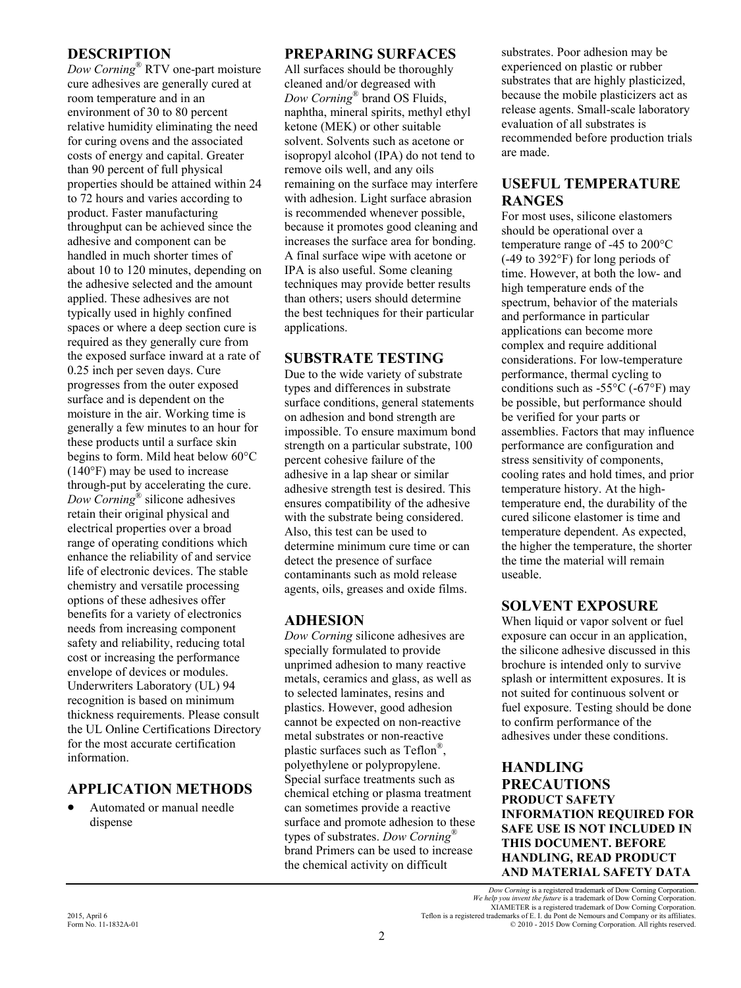#### **DESCRIPTION**

*Dow Corning*® RTV one-part moisture cure adhesives are generally cured at room temperature and in an environment of 30 to 80 percent relative humidity eliminating the need for curing ovens and the associated costs of energy and capital. Greater than 90 percent of full physical properties should be attained within 24 to 72 hours and varies according to product. Faster manufacturing throughput can be achieved since the adhesive and component can be handled in much shorter times of about 10 to 120 minutes, depending on the adhesive selected and the amount applied. These adhesives are not typically used in highly confined spaces or where a deep section cure is required as they generally cure from the exposed surface inward at a rate of 0.25 inch per seven days. Cure progresses from the outer exposed surface and is dependent on the moisture in the air. Working time is generally a few minutes to an hour for these products until a surface skin begins to form. Mild heat below 60°C (140°F) may be used to increase through-put by accelerating the cure. *Dow Corning*® silicone adhesives retain their original physical and electrical properties over a broad range of operating conditions which enhance the reliability of and service life of electronic devices. The stable chemistry and versatile processing options of these adhesives offer benefits for a variety of electronics needs from increasing component safety and reliability, reducing total cost or increasing the performance envelope of devices or modules. Underwriters Laboratory (UL) 94 recognition is based on minimum thickness requirements. Please consult the UL Online Certifications Directory for the most accurate certification information.

## **APPLICATION METHODS**

 Automated or manual needle dispense

#### **PREPARING SURFACES**

All surfaces should be thoroughly cleaned and/or degreased with *Dow Corning*® brand OS Fluids, naphtha, mineral spirits, methyl ethyl ketone (MEK) or other suitable solvent. Solvents such as acetone or isopropyl alcohol (IPA) do not tend to remove oils well, and any oils remaining on the surface may interfere with adhesion. Light surface abrasion is recommended whenever possible, because it promotes good cleaning and increases the surface area for bonding. A final surface wipe with acetone or IPA is also useful. Some cleaning techniques may provide better results than others; users should determine the best techniques for their particular applications.

#### **SUBSTRATE TESTING**

Due to the wide variety of substrate types and differences in substrate surface conditions, general statements on adhesion and bond strength are impossible. To ensure maximum bond strength on a particular substrate, 100 percent cohesive failure of the adhesive in a lap shear or similar adhesive strength test is desired. This ensures compatibility of the adhesive with the substrate being considered. Also, this test can be used to determine minimum cure time or can detect the presence of surface contaminants such as mold release agents, oils, greases and oxide films.

## **ADHESION**

*Dow Corning* silicone adhesives are specially formulated to provide unprimed adhesion to many reactive metals, ceramics and glass, as well as to selected laminates, resins and plastics. However, good adhesion cannot be expected on non-reactive metal substrates or non-reactive plastic surfaces such as Teflon<sup>®</sup>, polyethylene or polypropylene. Special surface treatments such as chemical etching or plasma treatment can sometimes provide a reactive surface and promote adhesion to these types of substrates. *Dow Corning*® brand Primers can be used to increase the chemical activity on difficult

substrates. Poor adhesion may be experienced on plastic or rubber substrates that are highly plasticized, because the mobile plasticizers act as release agents. Small-scale laboratory evaluation of all substrates is recommended before production trials are made.

## **USEFUL TEMPERATURE RANGES**

For most uses, silicone elastomers should be operational over a temperature range of -45 to 200°C (-49 to 392°F) for long periods of time. However, at both the low- and high temperature ends of the spectrum, behavior of the materials and performance in particular applications can become more complex and require additional considerations. For low-temperature performance, thermal cycling to conditions such as  $-55^{\circ}$ C ( $-67^{\circ}$ F) may be possible, but performance should be verified for your parts or assemblies. Factors that may influence performance are configuration and stress sensitivity of components, cooling rates and hold times, and prior temperature history. At the hightemperature end, the durability of the cured silicone elastomer is time and temperature dependent. As expected, the higher the temperature, the shorter the time the material will remain useable.

## **SOLVENT EXPOSURE**

When liquid or vapor solvent or fuel exposure can occur in an application, the silicone adhesive discussed in this brochure is intended only to survive splash or intermittent exposures. It is not suited for continuous solvent or fuel exposure. Testing should be done to confirm performance of the adhesives under these conditions.

#### **HANDLING PRECAUTIONS PRODUCT SAFETY INFORMATION REQUIRED FOR SAFE USE IS NOT INCLUDED IN THIS DOCUMENT. BEFORE HANDLING, READ PRODUCT AND MATERIAL SAFETY DATA**